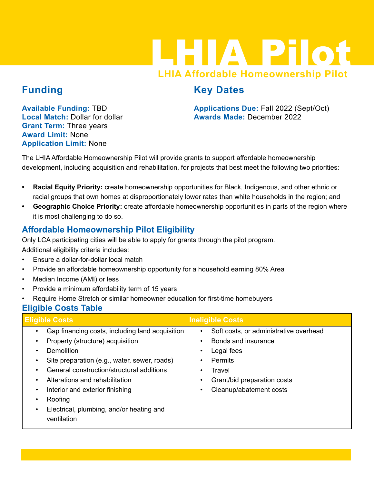

## **Funding**

### **Key Dates**

**Available Funding:** TBD **Local Match:** Dollar for dollar **Grant Term:** Three years **Award Limit:** None **Application Limit:** None

**Applications Due:** Fall 2022 (Sept/Oct) **Awards Made:** December 2022

The LHIA Affordable Homeownership Pilot will provide grants to support affordable homeownership development, including acquisition and rehabilitation, for projects that best meet the following two priorities:

- **• Racial Equity Priority:** create homeownership opportunities for Black, Indigenous, and other ethnic or racial groups that own homes at disproportionately lower rates than white households in the region; and
- **• Geographic Choice Priority:** create affordable homeownership opportunities in parts of the region where it is most challenging to do so.

### **Affordable Homeownership Pilot Eligibility**

Only LCA participating cities will be able to apply for grants through the pilot program. Additional eligibility criteria includes:

- Ensure a dollar-for-dollar local match
- Provide an affordable homeownership opportunity for a household earning 80% Area
- Median Income (AMI) or less
- Provide a minimum affordability term of 15 years
- Require Home Stretch or similar homeowner education for first-time homebuyers

#### **Eligible Costs Table**

| <b>Eligible Costs</b>                           | <b>Ineligible Costs</b>                             |
|-------------------------------------------------|-----------------------------------------------------|
| Gap financing costs, including land acquisition | Soft costs, or administrative overhead<br>$\bullet$ |
| Property (structure) acquisition                | Bonds and insurance                                 |
| <b>Demolition</b>                               | Legal fees<br>٠                                     |
| Site preparation (e.g., water, sewer, roads)    | <b>Permits</b>                                      |
| General construction/structural additions       | Travel                                              |
| Alterations and rehabilitation                  | Grant/bid preparation costs<br>٠                    |
| Interior and exterior finishing                 | Cleanup/abatement costs<br>$\bullet$                |
| Roofing                                         |                                                     |
| Electrical, plumbing, and/or heating and        |                                                     |
| ventilation                                     |                                                     |
|                                                 |                                                     |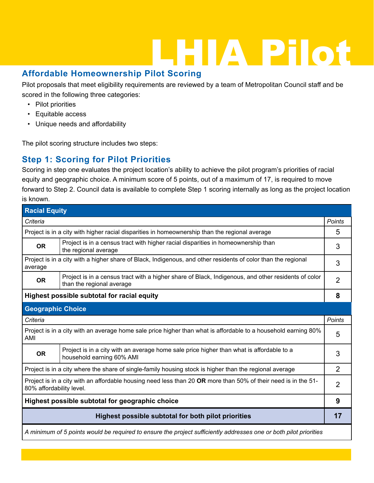# LHIA Pilot

### **Affordable Homeownership Pilot Scoring**

Pilot proposals that meet eligibility requirements are reviewed by a team of Metropolitan Council staff and be scored in the following three categories:

- Pilot priorities
- Equitable access
- Unique needs and affordability

The pilot scoring structure includes two steps:

### **Step 1: Scoring for Pilot Priorities**

Scoring in step one evaluates the project location's ability to achieve the pilot program's priorities of racial equity and geographic choice. A minimum score of 5 points, out of a maximum of 17, is required to move forward to Step 2. Council data is available to complete Step 1 scoring internally as long as the project location is known.

| <b>Racial Equity</b>                                                                                                                       |                                                                                                                                  |                |
|--------------------------------------------------------------------------------------------------------------------------------------------|----------------------------------------------------------------------------------------------------------------------------------|----------------|
| Criteria                                                                                                                                   |                                                                                                                                  | <b>Points</b>  |
| Project is in a city with higher racial disparities in homeownership than the regional average                                             |                                                                                                                                  | 5              |
| <b>OR</b>                                                                                                                                  | Project is in a census tract with higher racial disparities in homeownership than<br>the regional average                        | 3              |
| Project is in a city with a higher share of Black, Indigenous, and other residents of color than the regional<br>average                   |                                                                                                                                  | 3              |
| <b>OR</b>                                                                                                                                  | Project is in a census tract with a higher share of Black, Indigenous, and other residents of color<br>than the regional average | $\overline{2}$ |
|                                                                                                                                            | Highest possible subtotal for racial equity                                                                                      | 8              |
| <b>Geographic Choice</b>                                                                                                                   |                                                                                                                                  |                |
| Criteria                                                                                                                                   |                                                                                                                                  | <b>Points</b>  |
| Project is in a city with an average home sale price higher than what is affordable to a household earning 80%<br>AMI                      |                                                                                                                                  | 5              |
| <b>OR</b>                                                                                                                                  | Project is in a city with an average home sale price higher than what is affordable to a<br>household earning 60% AMI            | 3              |
|                                                                                                                                            | Project is in a city where the share of single-family housing stock is higher than the regional average                          | $\overline{2}$ |
| Project is in a city with an affordable housing need less than 20 OR more than 50% of their need is in the 51-<br>80% affordability level. |                                                                                                                                  | $\overline{2}$ |
| Highest possible subtotal for geographic choice                                                                                            |                                                                                                                                  | 9              |
| Highest possible subtotal for both pilot priorities                                                                                        |                                                                                                                                  | 17             |
| A minimum of 5 points would be required to ensure the project sufficiently addresses one or both pilot priorities                          |                                                                                                                                  |                |

*A minimum of 5 points would be required to ensure the project sufficiently addresses one or both pilot priorities*